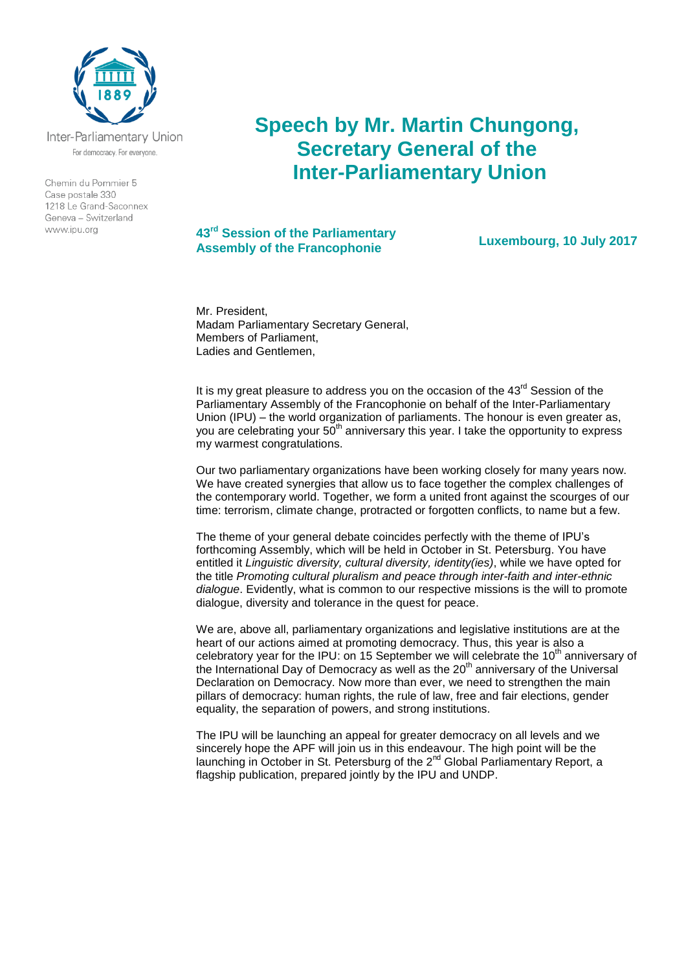

Inter-Parliamentary Union For democracy. For everyone.

Chemin du Pommier 5 Case postale 330  $1218$   $\leq$  Grand-Saconnex Geneva - Switzerland www.ipu.org

## **Speech by Mr. Martin Chungong, Secretary General of the Inter-Parliamentary Union**

## **43rd Session of the Parliamentary Assembly of the Francophonie Luxembourg, 10 July 2017**

Mr. President Madam Parliamentary Secretary General, Members of Parliament, Ladies and Gentlemen,

It is my great pleasure to address you on the occasion of the  $43<sup>rd</sup>$  Session of the Parliamentary Assembly of the Francophonie on behalf of the Inter-Parliamentary Union (IPU) – the world organization of parliaments. The honour is even greater as, you are celebrating your  $50<sup>th</sup>$  anniversary this year. I take the opportunity to express my warmest congratulations.

Our two parliamentary organizations have been working closely for many years now. We have created synergies that allow us to face together the complex challenges of the contemporary world. Together, we form a united front against the scourges of our time: terrorism, climate change, protracted or forgotten conflicts, to name but a few.

The theme of your general debate coincides perfectly with the theme of IPU's forthcoming Assembly, which will be held in October in St. Petersburg. You have entitled it *Linguistic diversity, cultural diversity, identity(ies)*, while we have opted for the title *Promoting cultural pluralism and peace through inter-faith and inter-ethnic dialogue*. Evidently, what is common to our respective missions is the will to promote dialogue, diversity and tolerance in the quest for peace.

We are, above all, parliamentary organizations and legislative institutions are at the heart of our actions aimed at promoting democracy. Thus, this year is also a celebratory year for the IPU: on 15 September we will celebrate the  $10<sup>th</sup>$  anniversary of the International Day of Democracy as well as the  $20<sup>th</sup>$  anniversary of the Universal Declaration on Democracy. Now more than ever, we need to strengthen the main pillars of democracy: human rights, the rule of law, free and fair elections, gender equality, the separation of powers, and strong institutions.

The IPU will be launching an appeal for greater democracy on all levels and we sincerely hope the APF will join us in this endeavour. The high point will be the launching in October in St. Petersburg of the  $2^{nd}$  Global Parliamentary Report, a flagship publication, prepared jointly by the IPU and UNDP.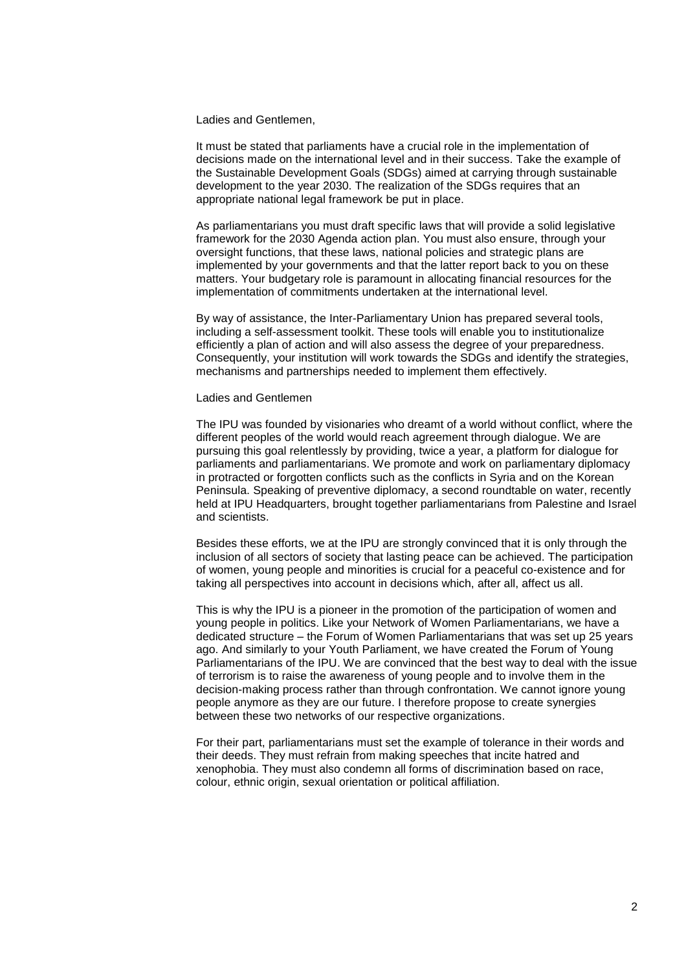Ladies and Gentlemen,

It must be stated that parliaments have a crucial role in the implementation of decisions made on the international level and in their success. Take the example of the Sustainable Development Goals (SDGs) aimed at carrying through sustainable development to the year 2030. The realization of the SDGs requires that an appropriate national legal framework be put in place.

As parliamentarians you must draft specific laws that will provide a solid legislative framework for the 2030 Agenda action plan. You must also ensure, through your oversight functions, that these laws, national policies and strategic plans are implemented by your governments and that the latter report back to you on these matters. Your budgetary role is paramount in allocating financial resources for the implementation of commitments undertaken at the international level.

By way of assistance, the Inter-Parliamentary Union has prepared several tools, including a self-assessment toolkit. These tools will enable you to institutionalize efficiently a plan of action and will also assess the degree of your preparedness. Consequently, your institution will work towards the SDGs and identify the strategies, mechanisms and partnerships needed to implement them effectively.

Ladies and Gentlemen

The IPU was founded by visionaries who dreamt of a world without conflict, where the different peoples of the world would reach agreement through dialogue. We are pursuing this goal relentlessly by providing, twice a year, a platform for dialogue for parliaments and parliamentarians. We promote and work on parliamentary diplomacy in protracted or forgotten conflicts such as the conflicts in Syria and on the Korean Peninsula. Speaking of preventive diplomacy, a second roundtable on water, recently held at IPU Headquarters, brought together parliamentarians from Palestine and Israel and scientists.

Besides these efforts, we at the IPU are strongly convinced that it is only through the inclusion of all sectors of society that lasting peace can be achieved. The participation of women, young people and minorities is crucial for a peaceful co-existence and for taking all perspectives into account in decisions which, after all, affect us all.

This is why the IPU is a pioneer in the promotion of the participation of women and young people in politics. Like your Network of Women Parliamentarians, we have a dedicated structure – the Forum of Women Parliamentarians that was set up 25 years ago. And similarly to your Youth Parliament, we have created the Forum of Young Parliamentarians of the IPU. We are convinced that the best way to deal with the issue of terrorism is to raise the awareness of young people and to involve them in the decision-making process rather than through confrontation. We cannot ignore young people anymore as they are our future. I therefore propose to create synergies between these two networks of our respective organizations.

For their part, parliamentarians must set the example of tolerance in their words and their deeds. They must refrain from making speeches that incite hatred and xenophobia. They must also condemn all forms of discrimination based on race, colour, ethnic origin, sexual orientation or political affiliation.